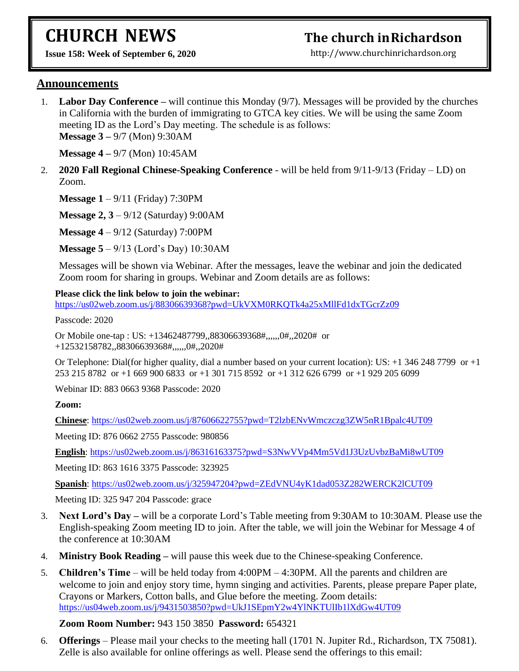# **CHURCH NEWS**

# **The church inRichardson**

**Issue 158: Week of September 6, 2020** 

[http://www.churchinrichardson.org](http://www.churchinrichardson.org/)

#### **Announcements**

1. **Labor Day Conference –** will continue this Monday (9/7). Messages will be provided by the churches in California with the burden of immigrating to GTCA key cities. We will be using the same Zoom meeting ID as the Lord's Day meeting. The schedule is as follows: **Message 3 –** 9/7 (Mon) 9:30AM

**Message 4 –** 9/7 (Mon) 10:45AM

2. **2020 Fall Regional Chinese-Speaking Conference** - will be held from 9/11-9/13 (Friday – LD) on Zoom.

**Message 1** – 9/11 (Friday) 7:30PM

**Message 2, 3** – 9/12 (Saturday) 9:00AM

**Message 4** – 9/12 (Saturday) 7:00PM

**Message 5** – 9/13 (Lord's Day) 10:30AM

Messages will be shown via Webinar. After the messages, leave the webinar and join the dedicated Zoom room for sharing in groups. Webinar and Zoom details are as follows:

#### **Please click the link below to join the webinar:**

<https://us02web.zoom.us/j/88306639368?pwd=UkVXM0RKQTk4a25xMllFd1dxTGcrZz09>

Passcode: 2020

Or Mobile one-tap : US: +13462487799,,88306639368#,,,,,,0#,,2020# or +12532158782,,88306639368#,,,,,,0#,,2020#

Or Telephone: Dial(for higher quality, dial a number based on your current location): US: +1 346 248 7799 or +1 253 215 8782 or +1 669 900 6833 or +1 301 715 8592 or +1 312 626 6799 or +1 929 205 6099

Webinar ID: 883 0663 9368 Passcode: 2020

**Zoom:**

**Chinese**:<https://us02web.zoom.us/j/87606622755?pwd=T2lzbENvWmczczg3ZW5nR1Bpalc4UT09>

Meeting ID: 876 0662 2755 Passcode: 980856

**English**:<https://us02web.zoom.us/j/86316163375?pwd=S3NwVVp4Mm5Vd1J3UzUvbzBaMi8wUT09>

Meeting ID: 863 1616 3375 Passcode: 323925

**Spanish**:<https://us02web.zoom.us/j/325947204?pwd=ZEdVNU4yK1dad053Z282WERCK2lCUT09>

Meeting ID: 325 947 204 Passcode: grace

- 3. **Next Lord's Day –** will be a corporate Lord's Table meeting from 9:30AM to 10:30AM. Please use the English-speaking Zoom meeting ID to join. After the table, we will join the Webinar for Message 4 of the conference at 10:30AM
- 4. **Ministry Book Reading –** will pause this week due to the Chinese-speaking Conference.
- 5. **Children's Time** will be held today from 4:00PM 4:30PM. All the parents and children are welcome to join and enjoy story time, hymn singing and activities. Parents, please prepare Paper plate, Crayons or Markers, Cotton balls, and Glue before the meeting. Zoom details: <https://us04web.zoom.us/j/9431503850?pwd=UkJ1SEpmY2w4YlNKTUlIb1lXdGw4UT09>

#### **Zoom Room Number:** 943 150 3850 **Password:** 654321

6. **Offerings** – Please mail your checks to the meeting hall (1701 N. Jupiter Rd., Richardson, TX 75081). Zelle is also available for online offerings as well. Please send the offerings to this email: